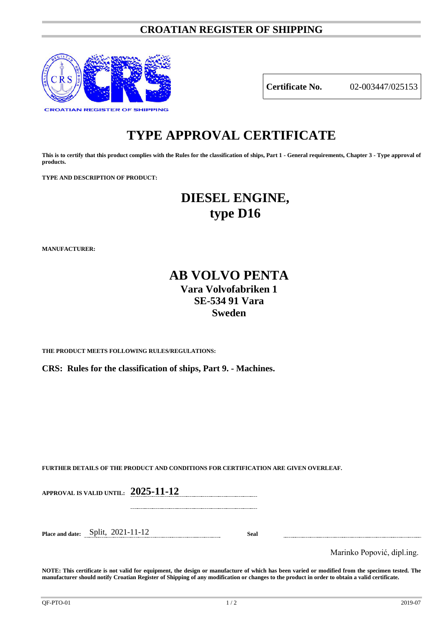# **CROATIAN REGISTER OF SHIPPING**



**Certificate No.** 02-003447/025153

# **TYPE APPROVAL CERTIFICATE**

**This is to certify that this product complies with the Rules for the classification of ships, Part 1 - General requirements, Chapter 3 - Type approval of products.**

**TYPE AND DESCRIPTION OF PRODUCT:** 

# **DIESEL ENGINE, type D16**

**MANUFACTURER:**

# **AB VOLVO PENTA Vara Volvofabriken 1 SE-534 91 Vara Sweden**

**THE PRODUCT MEETS FOLLOWING RULES/REGULATIONS:**

**CRS: Rules for the classification of ships, Part 9. - Machines.**

**FURTHER DETAILS OF THE PRODUCT AND CONDITIONS FOR CERTIFICATION ARE GIVEN OVERLEAF.**

**APPROVAL IS VALID UNTIL: 2025-11-12**

**Place and date:** Split, 2021-11-12 **Seal**

Marinko Popović, dipl.ing.

**NOTE: This certificate is not valid for equipment, the design or manufacture of which has been varied or modified from the specimen tested. The manufacturer should notify Croatian Register of Shipping of any modification or changes to the product in order to obtain a valid certificate.**